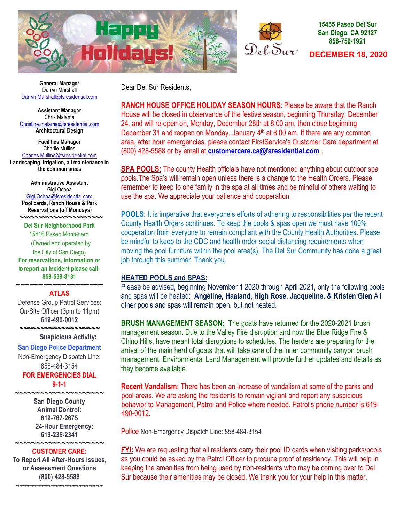



### **15455 Paseo Del Sur San Diego, CA 92127 858-759-1921**

**DECEMBER 18, 2020** 

 **General Manager** Darryn Marshall Darryn[.Ma](mailto:Darryn.Marshall@fsresidential.com)rshall@fsresidential.com

**Assistant Manager** Chris Malama [Christine.malama@fsresidential.com](mailto:Christine.malama@fsresidential.com) **Architectural Design**

**Facilities Manager** Charlie Mullins [Charles.Mullins@fsresidential.com](mailto:Charles.Mullins@fsresidential.com)

**Landscaping, irrigation, all maintenance in the common areas**

**Administrative Assistant**  Gigi Ochoa [Gigi.Ochoa@fsresidential.com](mailto:Gigi.Ochoa@fsresidential.com) **Pool cards, Ranch House & Park Reservations (off Mondays)**

 **~~~~~~~~~~~~~~~~~~~~~~ Del Sur Neighborhood Park** 15816 Paseo Montenero (Owned and operated by the City of San Diego) **For reservations, information or to report an incident please call: 858-538-8131** 

### **~~~~~~~~~~~~~~~~~~~ ATLAS**

Defense Group Patrol Services: On-Site Officer (3pm to 11pm) **619-490-0012** 

**~~~~~~~~~~~~~~~~~~~**

### **Suspicious Activity:**

### **San Diego Police Department**

Non-Emergency Dispatch Line: 858-484-3154

**FOR EMERGENCIES DIAL 9-1-1**

**~~~~~~~~~~~~~~~~~~~~~**

**San Diego County Animal Control: 619-767-2675 24-Hour Emergency: 619-236-2341** 

### **~~~~~~~~~~~~~~~~~~~~~ CUSTOMER CARE:**

**To Report All After-Hours Issues, or Assessment Questions (800) 428-5588**

**~~~~~~~~~~~~~~~~~~~~~~~~~**

Dear Del Sur Residents,

**RANCH HOUSE OFFICE HOLIDAY SEASON HOURS**: Please be aware that the Ranch House will be closed in observance of the festive season, beginning Thursday, December 24, and will re-open on, Monday, December 28th at 8:00 am, then close beginning December 31 and reopen on Monday, January  $4<sup>th</sup>$  at 8:00 am. If there are any common area, after hour emergencies, please contact FirstService's Customer Care department at (800) 428-5588 or by email at **[customercare.ca@fsresidential.com](mailto:customercare.ca@fsresidential.com)** .

**SPA POOLS:** The county Health officials have not mentioned anything about outdoor spa pools.The Spa's will remain open unless there is a change to the Health Orders. Please remember to keep to one family in the spa at all times and be mindful of others waiting to use the spa. We appreciate your patience and cooperation.

**POOLS**: It is imperative that everyone's efforts of adhering to responsibilities per the recent County Health Orders continues. To keep the pools & spas open we must have 100% cooperation from everyone to remain compliant with the County Health Authorities. Please be mindful to keep to the CDC and health order social distancing requirements when moving the pool furniture within the pool area(s). The Del Sur Community has done a great job through this summer. Thank you.

### **HEATED POOLS and SPAS:**

Please be advised, beginning November 1 2020 through April 2021, only the following pools and spas will be heated: **Angeline, Haaland, High Rose, Jacqueline, & Kristen Glen** All other pools and spas will remain open, but not heated.

**BRUSH MANAGEMENT SEASON:** The goats have returned for the 2020-2021 brush management season. Due to the Valley Fire disruption and now the Blue Ridge Fire & Chino Hills, have meant total disruptions to schedules. The herders are preparing for the arrival of the main herd of goats that will take care of the inner community canyon brush management. Environmental Land Management will provide further updates and details as they become available.

**Recent Vandalism:** There has been an increase of vandalism at some of the parks and pool areas. We are asking the residents to remain vigilant and report any suspicious behavior to Management, Patrol and Police where needed. Patrol's phone number is 619- 490-0012.

Police Non-Emergency Dispatch Line: 858-484-3154

**FYI:** We are requesting that all residents carry their pool ID cards when visiting parks/pools as you could be asked by the Patrol Officer to produce proof of residency. This will help in keeping the amenities from being used by non-residents who may be coming over to Del Sur because their amenities may be closed. We thank you for your help in this matter.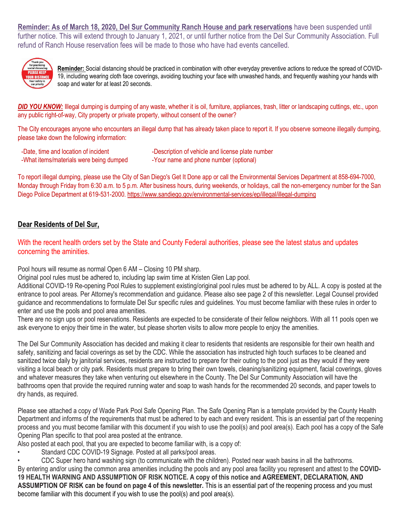**Reminder: As of March 18, 2020, Del Sur Community Ranch House and park reservations** have been suspended until further notice. This will extend through to January 1, 2021, or until further notice from the Del Sur Community Association. Full refund of Ranch House reservation fees will be made to those who have had events cancelled.



**Reminder:** Social distancing should be practiced in combination with other everyday preventive actions to reduce the spread of COVID-19, including wearing cloth face coverings, avoiding touching your face with unwashed hands, and frequently washing your hands with soap and water for at least 20 seconds.

**DID YOU KNOW:** Illegal dumping is dumping of any waste, whether it is oil, furniture, appliances, trash, litter or landscaping cuttings, etc., upon any public right-of-way. City property or private property, without consent of the owner?

The City encourages anyone who encounters an illegal dump that has already taken place to report it. If you observe someone illegally dumping, please take down the following information:

- -Date, time and location of incident -What items/materials were being dumped
- -Description of vehicle and license plate number -Your name and phone number (optional)

To report illegal dumping, please use the City of San Diego's Get It Done app or call the Environmental Services Department at 858-694-7000, Monday through Friday from 6:30 a.m. to 5 p.m. After business hours, during weekends, or holidays, call the non-emergency number for the San Diego Police Department at 619-531-2000.<https://www.sandiego.gov/environmental-services/ep/illegal/illegal-dumping>

### **Dear Residents of Del Sur,**

With the recent health orders set by the State and County Federal authorities, please see the latest status and updates concerning the aminities.

Pool hours will resume as normal Open 6 AM – Closing 10 PM sharp.

Original pool rules must be adhered to, including lap swim time at Kristen Glen Lap pool.

Additional COVID-19 Re-opening Pool Rules to supplement existing/original pool rules must be adhered to by ALL. A copy is posted at the entrance to pool areas. Per Attorney's recommendation and guidance. Please also see page 2 of this newsletter. Legal Counsel provided guidance and recommendations to formulate Del Sur specific rules and guidelines. You must become familiar with these rules in order to enter and use the pools and pool area amenities.

There are no sign ups or pool reservations. Residents are expected to be considerate of their fellow neighbors. With all 11 pools open we ask everyone to enjoy their time in the water, but please shorten visits to allow more people to enjoy the amenities.

The Del Sur Community Association has decided and making it clear to residents that residents are responsible for their own health and safety, sanitizing and facial coverings as set by the CDC. While the association has instructed high touch surfaces to be cleaned and sanitized twice daily by janitorial services, residents are instructed to prepare for their outing to the pool just as they would if they were visiting a local beach or city park. Residents must prepare to bring their own towels, cleaning/sanitizing equipment, facial coverings, gloves and whatever measures they take when venturing out elsewhere in the County. The Del Sur Community Association will have the bathrooms open that provide the required running water and soap to wash hands for the recommended 20 seconds, and paper towels to dry hands, as required.

Please see attached a copy of Wade Park Pool Safe Opening Plan. The Safe Opening Plan is a template provided by the County Health Department and informs of the requirements that must be adhered to by each and every resident. This is an essential part of the reopening process and you must become familiar with this document if you wish to use the pool(s) and pool area(s). Each pool has a copy of the Safe Opening Plan specific to that pool area posted at the entrance.

Also posted at each pool, that you are expected to become familiar with, is a copy of:

Standard CDC COVID-19 Signage. Posted at all parks/pool areas.

• CDC Super hero hand washing sign (to communicate with the children). Posted near wash basins in all the bathrooms. By entering and/or using the common area amenities including the pools and any pool area facility you represent and attest to the **COVID-19 HEALTH WARNING AND ASSUMPTION OF RISK NOTICE. A copy of this notice and AGREEMENT, DECLARATION, AND ASSUMPTION OF RISK can be found on page 4 of this newsletter.** This is an essential part of the reopening process and you must become familiar with this document if you wish to use the pool(s) and pool area(s).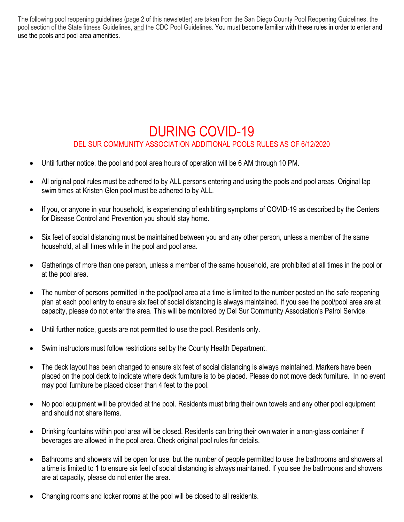The following pool reopening guidelines (page 2 of this newsletter) are taken from the San Diego County Pool Reopening Guidelines, the pool section of the State fitness Guidelines, and the CDC Pool Guidelines. You must become familiar with these rules in order to enter and use the pools and pool area amenities.

## DURING COVID-19 DEL SUR COMMUNITY ASSOCIATION ADDITIONAL POOLS RULES AS OF 6/12/2020

- Until further notice, the pool and pool area hours of operation will be 6 AM through 10 PM.
- All original pool rules must be adhered to by ALL persons entering and using the pools and pool areas. Original lap swim times at Kristen Glen pool must be adhered to by ALL.
- If you, or anyone in your household, is experiencing of exhibiting symptoms of COVID-19 as described by the Centers for Disease Control and Prevention you should stay home.
- Six feet of social distancing must be maintained between you and any other person, unless a member of the same household, at all times while in the pool and pool area.
- Gatherings of more than one person, unless a member of the same household, are prohibited at all times in the pool or at the pool area.
- The number of persons permitted in the pool/pool area at a time is limited to the number posted on the safe reopening plan at each pool entry to ensure six feet of social distancing is always maintained. If you see the pool/pool area are at capacity, please do not enter the area. This will be monitored by Del Sur Community Association's Patrol Service.
- Until further notice, guests are not permitted to use the pool. Residents only.
- Swim instructors must follow restrictions set by the County Health Department.
- The deck layout has been changed to ensure six feet of social distancing is always maintained. Markers have been placed on the pool deck to indicate where deck furniture is to be placed. Please do not move deck furniture. In no event may pool furniture be placed closer than 4 feet to the pool.
- No pool equipment will be provided at the pool. Residents must bring their own towels and any other pool equipment and should not share items.
- Drinking fountains within pool area will be closed. Residents can bring their own water in a non-glass container if beverages are allowed in the pool area. Check original pool rules for details.
- Bathrooms and showers will be open for use, but the number of people permitted to use the bathrooms and showers at a time is limited to 1 to ensure six feet of social distancing is always maintained. If you see the bathrooms and showers are at capacity, please do not enter the area.
- Changing rooms and locker rooms at the pool will be closed to all residents.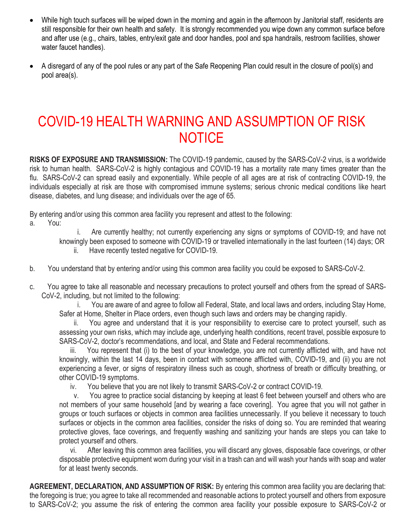- While high touch surfaces will be wiped down in the morning and again in the afternoon by Janitorial staff, residents are still responsible for their own health and safety. It is strongly recommended you wipe down any common surface before and after use (e.g., chairs, tables, entry/exit gate and door handles, pool and spa handrails, restroom facilities, shower water faucet handles).
- A disregard of any of the pool rules or any part of the Safe Reopening Plan could result in the closure of pool(s) and pool area(s).

# COVID-19 HEALTH WARNING AND ASSUMPTION OF RISK **NOTICE**

**RISKS OF EXPOSURE AND TRANSMISSION:** The COVID-19 pandemic, caused by the SARS-CoV-2 virus, is a worldwide risk to human health. SARS-CoV-2 is highly contagious and COVID-19 has a mortality rate many times greater than the flu. SARS-CoV-2 can spread easily and exponentially. While people of all ages are at risk of contracting COVID-19, the individuals especially at risk are those with compromised immune systems; serious chronic medical conditions like heart disease, diabetes, and lung disease; and individuals over the age of 65.

By entering and/or using this common area facility you represent and attest to the following:

a. You:

 i. Are currently healthy; not currently experiencing any signs or symptoms of COVID-19; and have not knowingly been exposed to someone with COVID-19 or travelled internationally in the last fourteen (14) days; OR ii. Have recently tested negative for COVID-19.

- b. You understand that by entering and/or using this common area facility you could be exposed to SARS-CoV-2.
- c. You agree to take all reasonable and necessary precautions to protect yourself and others from the spread of SARS-CoV-2, including, but not limited to the following:

 i. You are aware of and agree to follow all Federal, State, and local laws and orders, including Stay Home, Safer at Home, Shelter in Place orders, even though such laws and orders may be changing rapidly.

You agree and understand that it is your responsibility to exercise care to protect yourself, such as assessing your own risks, which may include age, underlying health conditions, recent travel, possible exposure to SARS-CoV-2, doctor's recommendations, and local, and State and Federal recommendations.

 iii. You represent that (i) to the best of your knowledge, you are not currently afflicted with, and have not knowingly, within the last 14 days, been in contact with someone afflicted with, COVID-19, and (ii) you are not experiencing a fever, or signs of respiratory illness such as cough, shortness of breath or difficulty breathing, or other COVID-19 symptoms.

iv. You believe that you are not likely to transmit SARS-CoV-2 or contract COVID-19.

 v. You agree to practice social distancing by keeping at least 6 feet between yourself and others who are not members of your same household [and by wearing a face covering]. You agree that you will not gather in groups or touch surfaces or objects in common area facilities unnecessarily. If you believe it necessary to touch surfaces or objects in the common area facilities, consider the risks of doing so. You are reminded that wearing protective gloves, face coverings, and frequently washing and sanitizing your hands are steps you can take to protect yourself and others.

 vi. After leaving this common area facilities, you will discard any gloves, disposable face coverings, or other disposable protective equipment worn during your visit in a trash can and will wash your hands with soap and water for at least twenty seconds.

**AGREEMENT, DECLARATION, AND ASSUMPTION OF RISK:** By entering this common area facility you are declaring that: the foregoing is true; you agree to take all recommended and reasonable actions to protect yourself and others from exposure to SARS-CoV-2; you assume the risk of entering the common area facility your possible exposure to SARS-CoV-2 or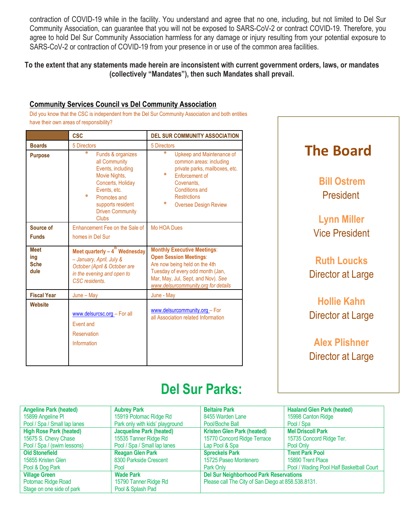contraction of COVID-19 while in the facility. You understand and agree that no one, including, but not limited to Del Sur Community Association, can guarantee that you will not be exposed to SARS-CoV-2 or contract COVID-19. Therefore, you agree to hold Del Sur Community Association harmless for any damage or injury resulting from your potential exposure to SARS-CoV-2 or contraction of COVID-19 from your presence in or use of the common area facilities.

To the extent that any statements made herein are inconsistent with current government orders, laws, or mandates **(collectively "Mandates"), then such Mandates shall prevail.**

### **Community Services Council vs Del Community Association**

Did you know that the CSC is independent from the Del Sur Community Association and both entities have their own areas of responsibility?

|                                           | <b>CSC</b>                                                                                                                                                                                              | <b>DEL SUR COMMUNITY ASSOCIATION</b>                                                                                                                                                                                         |  |
|-------------------------------------------|---------------------------------------------------------------------------------------------------------------------------------------------------------------------------------------------------------|------------------------------------------------------------------------------------------------------------------------------------------------------------------------------------------------------------------------------|--|
| <b>Boards</b>                             | <b>5 Directors</b>                                                                                                                                                                                      | 5 Directors                                                                                                                                                                                                                  |  |
| <b>Purpose</b>                            | ₩<br>Funds & organizes<br>all Community<br>Events, including<br>Movie Nights,<br>Concerts, Holiday<br>Events, etc.<br>₩<br>Promotes and<br>supports resident<br><b>Driven Community</b><br><b>Clubs</b> | ₩<br>Upkeep and Maintenance of<br>common areas: including<br>private parks, mailboxes, etc.<br>₩<br><b>Enforcement of</b><br>Covenants.<br><b>Conditions and</b><br><b>Restrictions</b><br>₩<br><b>Oversee Design Review</b> |  |
| Source of                                 | Enhancement Fee on the Sale of                                                                                                                                                                          | <b>Mo HOA Dues</b>                                                                                                                                                                                                           |  |
| <b>Funds</b>                              | homes in Del Sur                                                                                                                                                                                        |                                                                                                                                                                                                                              |  |
| <b>Meet</b><br>ing<br><b>Sche</b><br>dule | Meet quarterly $-4^{th}$ Wednesday<br>- January, April, July &<br>October (April & October are<br>in the evening and open to<br>CSC residents.                                                          | <b>Monthly Executive Meetings:</b><br><b>Open Session Meetings:</b><br>Are now being held on the 4th<br>Tuesday of every odd month (Jan,<br>Mar, May, Jul, Sept, and Nov). See<br>www.delsurcommunity.org for details        |  |
| <b>Fiscal Year</b>                        | June - May                                                                                                                                                                                              | June - May                                                                                                                                                                                                                   |  |
| <b>Website</b>                            | www.delsurcsc.org - For all<br>Fvent and<br><b>Reservation</b><br>Information                                                                                                                           | www.delsurcommunity.org - For<br>all Association related Information                                                                                                                                                         |  |

# **The Board Bill Ostrem** President **Lynn Miller** Vice President **Ruth Loucks** Director at Large **Hollie Kahn** Director at Large **Alex Plishner** Director at Large

# **Del Sur Parks:**

| <b>Angeline Park (heated)</b>  | <b>Aubrey Park</b>              | <b>Beltaire Park</b>                               | <b>Haaland Glen Park (heated)</b>        |
|--------------------------------|---------------------------------|----------------------------------------------------|------------------------------------------|
| 15899 Angeline PI              | 15919 Potomac Ridge Rd          | 8455 Warden Lane                                   | 15998 Canton Ridge                       |
| Pool / Spa / Small lap lanes   | Park only with kids' playground | Pool/Boche Ball                                    | Pool / Spa                               |
| <b>High Rose Park (heated)</b> | <b>Jacqueline Park (heated)</b> | <b>Kristen Glen Park (heated)</b>                  | <b>Mel Driscoll Park</b>                 |
| 15675 S. Chevy Chase           | 15535 Tanner Ridge Rd           | 15770 Concord Ridge Terrace                        | 15735 Concord Ridge Ter.                 |
| Pool / Spa / (swim lessons)    | Pool / Spa / Small lap lanes    | Lap Pool & Spa                                     | Pool Only                                |
| <b>Old Stonefield</b>          | <b>Reagan Glen Park</b>         | <b>Spreckels Park</b>                              | <b>Trent Park Pool</b>                   |
| 15855 Kristen Glen             | 8300 Parkside Crescent          | 15725 Paseo Montenero                              | 15890 Trent Place                        |
| Pool & Dog Park                | Pool                            | Park Only                                          | Pool / Wading Pool Half Basketball Court |
| <b>Village Green</b>           | <b>Wade Park</b>                | <b>Del Sur Neighborhood Park Reservations</b>      |                                          |
| Potomac Ridge Road             | 15790 Tanner Ridge Rd           | Please call The City of San Diego at 858.538.8131. |                                          |
| Stage on one side of park      | Pool & Splash Pad               |                                                    |                                          |